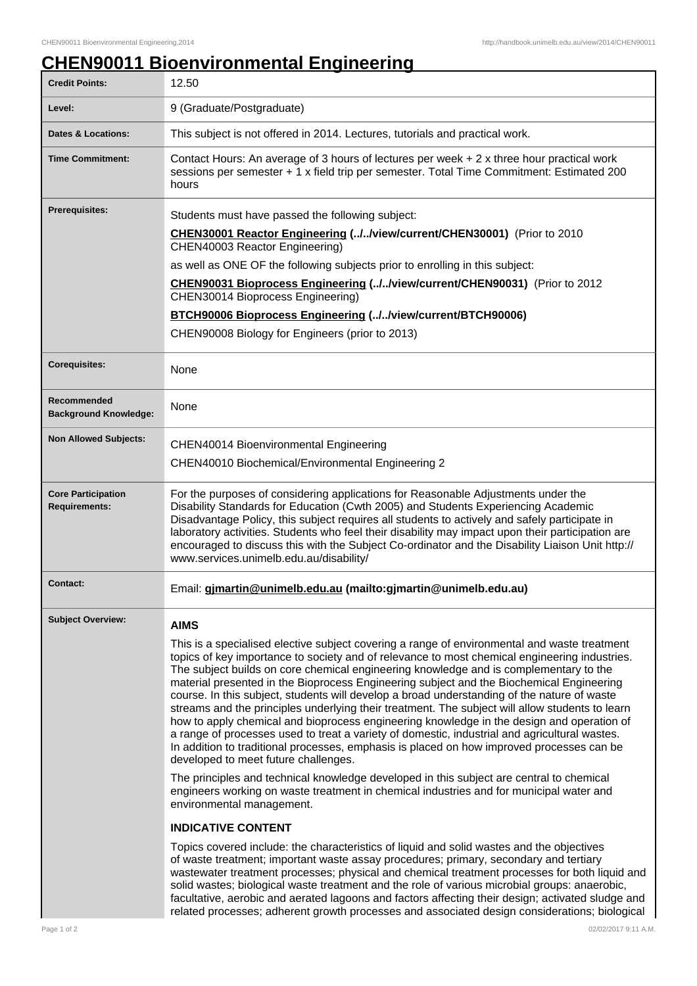## **CHEN90011 Bioenvironmental Engineering**

| <b>Credit Points:</b>                             | 12.50                                                                                                                                                                                                                                                                                                                                                                                                                                                                                                                                                                                                                                                                                                                                                                                                                                                                                                                   |
|---------------------------------------------------|-------------------------------------------------------------------------------------------------------------------------------------------------------------------------------------------------------------------------------------------------------------------------------------------------------------------------------------------------------------------------------------------------------------------------------------------------------------------------------------------------------------------------------------------------------------------------------------------------------------------------------------------------------------------------------------------------------------------------------------------------------------------------------------------------------------------------------------------------------------------------------------------------------------------------|
| Level:                                            | 9 (Graduate/Postgraduate)                                                                                                                                                                                                                                                                                                                                                                                                                                                                                                                                                                                                                                                                                                                                                                                                                                                                                               |
| <b>Dates &amp; Locations:</b>                     | This subject is not offered in 2014. Lectures, tutorials and practical work.                                                                                                                                                                                                                                                                                                                                                                                                                                                                                                                                                                                                                                                                                                                                                                                                                                            |
| <b>Time Commitment:</b>                           | Contact Hours: An average of 3 hours of lectures per week + 2 x three hour practical work<br>sessions per semester + 1 x field trip per semester. Total Time Commitment: Estimated 200<br>hours                                                                                                                                                                                                                                                                                                                                                                                                                                                                                                                                                                                                                                                                                                                         |
| <b>Prerequisites:</b>                             | Students must have passed the following subject:                                                                                                                                                                                                                                                                                                                                                                                                                                                                                                                                                                                                                                                                                                                                                                                                                                                                        |
|                                                   | CHEN30001 Reactor Engineering (.J. Iview/current/CHEN30001) (Prior to 2010<br>CHEN40003 Reactor Engineering)                                                                                                                                                                                                                                                                                                                                                                                                                                                                                                                                                                                                                                                                                                                                                                                                            |
|                                                   | as well as ONE OF the following subjects prior to enrolling in this subject:                                                                                                                                                                                                                                                                                                                                                                                                                                                                                                                                                                                                                                                                                                                                                                                                                                            |
|                                                   | CHEN90031 Bioprocess Engineering (//view/current/CHEN90031) (Prior to 2012<br>CHEN30014 Bioprocess Engineering)                                                                                                                                                                                                                                                                                                                                                                                                                                                                                                                                                                                                                                                                                                                                                                                                         |
|                                                   | <b>BTCH90006 Bioprocess Engineering (//view/current/BTCH90006)</b>                                                                                                                                                                                                                                                                                                                                                                                                                                                                                                                                                                                                                                                                                                                                                                                                                                                      |
|                                                   | CHEN90008 Biology for Engineers (prior to 2013)                                                                                                                                                                                                                                                                                                                                                                                                                                                                                                                                                                                                                                                                                                                                                                                                                                                                         |
| <b>Corequisites:</b>                              | None                                                                                                                                                                                                                                                                                                                                                                                                                                                                                                                                                                                                                                                                                                                                                                                                                                                                                                                    |
| Recommended<br><b>Background Knowledge:</b>       | None                                                                                                                                                                                                                                                                                                                                                                                                                                                                                                                                                                                                                                                                                                                                                                                                                                                                                                                    |
| <b>Non Allowed Subjects:</b>                      |                                                                                                                                                                                                                                                                                                                                                                                                                                                                                                                                                                                                                                                                                                                                                                                                                                                                                                                         |
|                                                   | <b>CHEN40014 Bioenvironmental Engineering</b><br>CHEN40010 Biochemical/Environmental Engineering 2                                                                                                                                                                                                                                                                                                                                                                                                                                                                                                                                                                                                                                                                                                                                                                                                                      |
|                                                   |                                                                                                                                                                                                                                                                                                                                                                                                                                                                                                                                                                                                                                                                                                                                                                                                                                                                                                                         |
| <b>Core Participation</b><br><b>Requirements:</b> | For the purposes of considering applications for Reasonable Adjustments under the<br>Disability Standards for Education (Cwth 2005) and Students Experiencing Academic<br>Disadvantage Policy, this subject requires all students to actively and safely participate in<br>laboratory activities. Students who feel their disability may impact upon their participation are<br>encouraged to discuss this with the Subject Co-ordinator and the Disability Liaison Unit http://<br>www.services.unimelb.edu.au/disability/                                                                                                                                                                                                                                                                                                                                                                                             |
| Contact:                                          | Email: gjmartin@unimelb.edu.au (mailto:gjmartin@unimelb.edu.au)                                                                                                                                                                                                                                                                                                                                                                                                                                                                                                                                                                                                                                                                                                                                                                                                                                                         |
| <b>Subject Overview:</b>                          | <b>AIMS</b>                                                                                                                                                                                                                                                                                                                                                                                                                                                                                                                                                                                                                                                                                                                                                                                                                                                                                                             |
|                                                   | This is a specialised elective subject covering a range of environmental and waste treatment<br>topics of key importance to society and of relevance to most chemical engineering industries.<br>The subject builds on core chemical engineering knowledge and is complementary to the<br>material presented in the Bioprocess Engineering subject and the Biochemical Engineering<br>course. In this subject, students will develop a broad understanding of the nature of waste<br>streams and the principles underlying their treatment. The subject will allow students to learn<br>how to apply chemical and bioprocess engineering knowledge in the design and operation of<br>a range of processes used to treat a variety of domestic, industrial and agricultural wastes.<br>In addition to traditional processes, emphasis is placed on how improved processes can be<br>developed to meet future challenges. |
|                                                   | The principles and technical knowledge developed in this subject are central to chemical<br>engineers working on waste treatment in chemical industries and for municipal water and<br>environmental management.                                                                                                                                                                                                                                                                                                                                                                                                                                                                                                                                                                                                                                                                                                        |
|                                                   | <b>INDICATIVE CONTENT</b>                                                                                                                                                                                                                                                                                                                                                                                                                                                                                                                                                                                                                                                                                                                                                                                                                                                                                               |
|                                                   | Topics covered include: the characteristics of liquid and solid wastes and the objectives<br>of waste treatment; important waste assay procedures; primary, secondary and tertiary<br>wastewater treatment processes; physical and chemical treatment processes for both liquid and<br>solid wastes; biological waste treatment and the role of various microbial groups: anaerobic,<br>facultative, aerobic and aerated lagoons and factors affecting their design; activated sludge and<br>related processes; adherent growth processes and associated design considerations; biological                                                                                                                                                                                                                                                                                                                              |